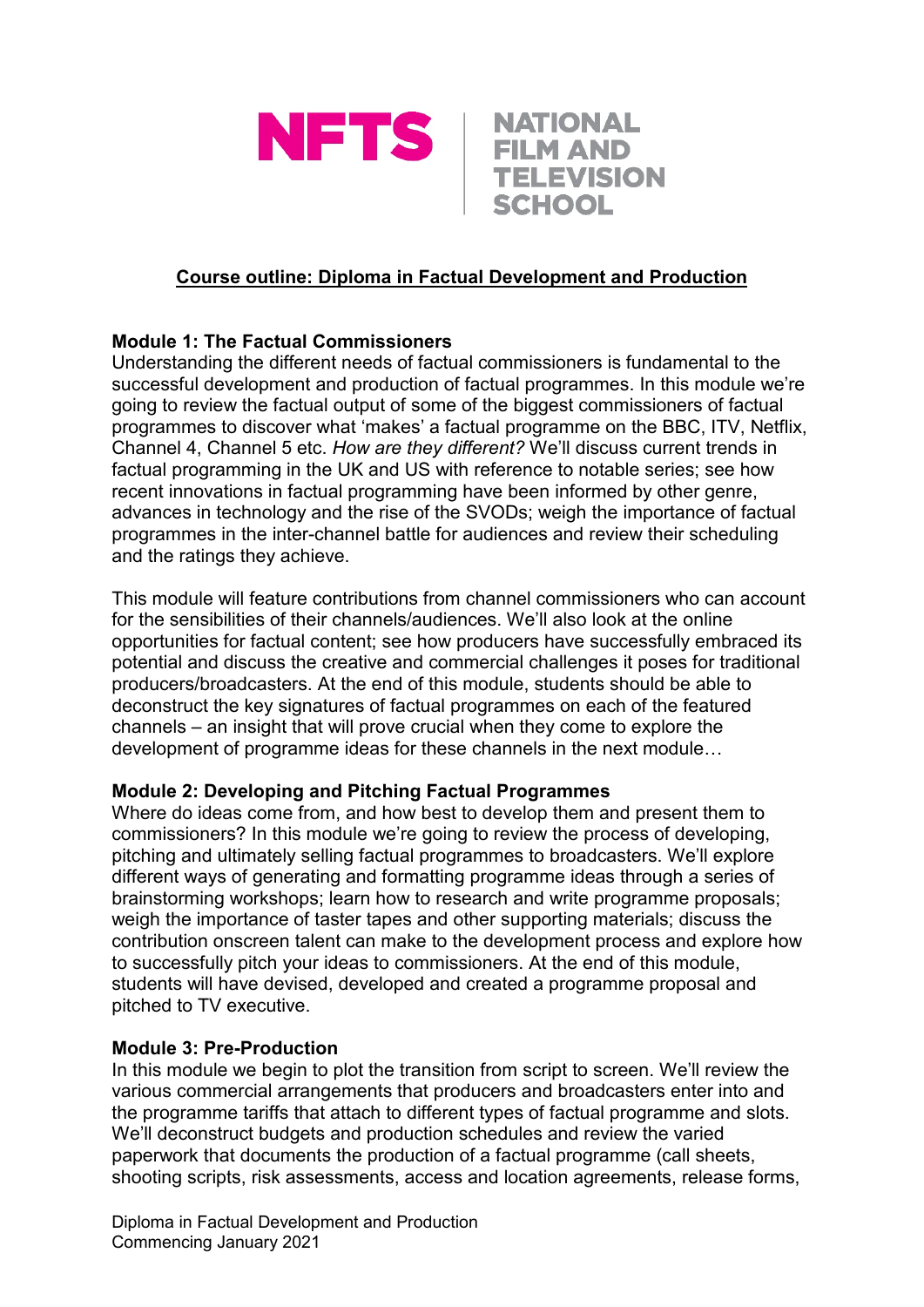



## **Course outline: Diploma in Factual Development and Production**

## **Module 1: The Factual Commissioners**

Understanding the different needs of factual commissioners is fundamental to the successful development and production of factual programmes. In this module we're going to review the factual output of some of the biggest commissioners of factual programmes to discover what 'makes' a factual programme on the BBC, ITV, Netflix, Channel 4, Channel 5 etc. *How are they different?* We'll discuss current trends in factual programming in the UK and US with reference to notable series; see how recent innovations in factual programming have been informed by other genre, advances in technology and the rise of the SVODs; weigh the importance of factual programmes in the inter-channel battle for audiences and review their scheduling and the ratings they achieve.

This module will feature contributions from channel commissioners who can account for the sensibilities of their channels/audiences. We'll also look at the online opportunities for factual content; see how producers have successfully embraced its potential and discuss the creative and commercial challenges it poses for traditional producers/broadcasters. At the end of this module, students should be able to deconstruct the key signatures of factual programmes on each of the featured channels – an insight that will prove crucial when they come to explore the development of programme ideas for these channels in the next module…

## **Module 2: Developing and Pitching Factual Programmes**

Where do ideas come from, and how best to develop them and present them to commissioners? In this module we're going to review the process of developing, pitching and ultimately selling factual programmes to broadcasters. We'll explore different ways of generating and formatting programme ideas through a series of brainstorming workshops; learn how to research and write programme proposals; weigh the importance of taster tapes and other supporting materials; discuss the contribution onscreen talent can make to the development process and explore how to successfully pitch your ideas to commissioners. At the end of this module, students will have devised, developed and created a programme proposal and pitched to TV executive.

## **Module 3: Pre-Production**

In this module we begin to plot the transition from script to screen. We'll review the various commercial arrangements that producers and broadcasters enter into and the programme tariffs that attach to different types of factual programme and slots. We'll deconstruct budgets and production schedules and review the varied paperwork that documents the production of a factual programme (call sheets, shooting scripts, risk assessments, access and location agreements, release forms,